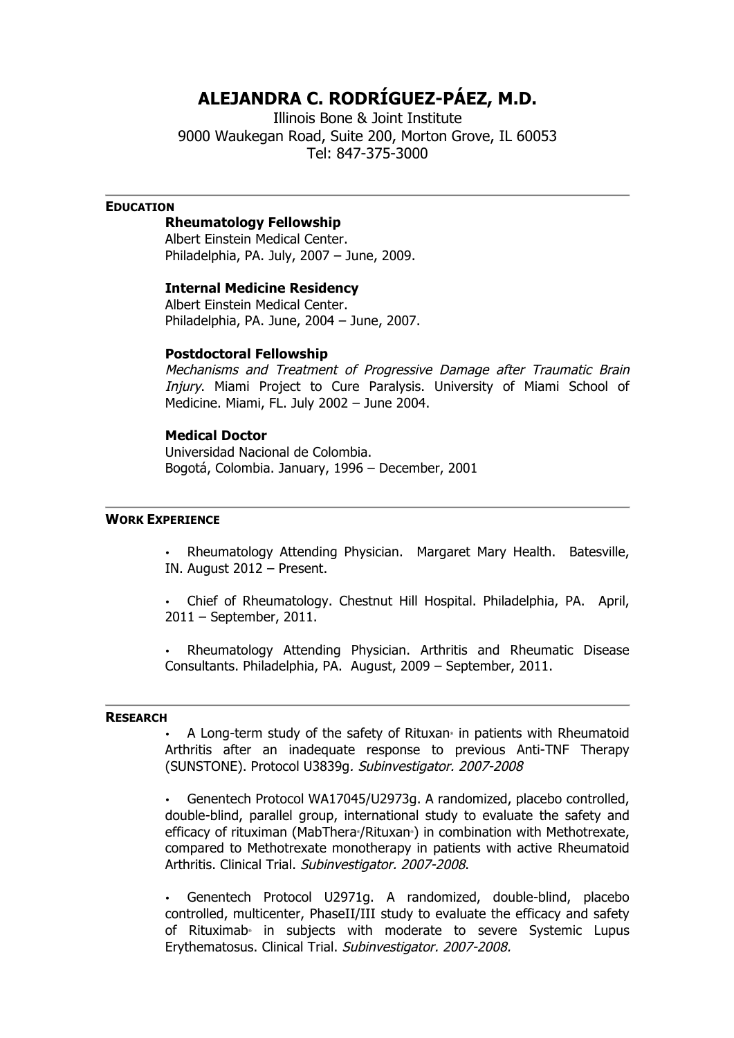# **ALEJANDRA C. RODRÍGUEZ-PÁEZ, M.D.**

Illinois Bone & Joint Institute 9000 Waukegan Road, Suite 200, Morton Grove, IL 60053 Tel: 847-375-3000

# **EDUCATION**

# **Rheumatology Fellowship**

Albert Einstein Medical Center. Philadelphia, PA. July, 2007 – June, 2009.

# **Internal Medicine Residency**

Albert Einstein Medical Center. Philadelphia, PA. June, 2004 – June, 2007.

# **Postdoctoral Fellowship**

Mechanisms and Treatment of Progressive Damage after Traumatic Brain Injury. Miami Project to Cure Paralysis. University of Miami School of Medicine. Miami, FL. July 2002 – June 2004.

### **Medical Doctor**

Universidad Nacional de Colombia. Bogotá, Colombia. January, 1996 – December, 2001

#### **WORK EXPERIENCE**

• Rheumatology Attending Physician. Margaret Mary Health. Batesville, IN. August 2012 – Present.

• Chief of Rheumatology. Chestnut Hill Hospital. Philadelphia, PA. April, 2011 – September, 2011.

• Rheumatology Attending Physician. Arthritis and Rheumatic Disease Consultants. Philadelphia, PA. August, 2009 – September, 2011.

#### **RESEARCH**

A Long-term study of the safety of Rituxan® in patients with Rheumatoid Arthritis after an inadequate response to previous Anti-TNF Therapy (SUNSTONE). Protocol U3839g. Subinvestigator. 2007-2008

• Genentech Protocol WA17045/U2973g. A randomized, placebo controlled, double-blind, parallel group, international study to evaluate the safety and efficacy of rituximan (MabThera<sup>®</sup>/Rituxan®) in combination with Methotrexate, compared to Methotrexate monotherapy in patients with active Rheumatoid Arthritis. Clinical Trial. Subinvestigator. 2007-2008.

• Genentech Protocol U2971g. A randomized, double-blind, placebo controlled, multicenter, PhaseII/III study to evaluate the efficacy and safety of Rituximab<sup>®</sup> in subjects with moderate to severe Systemic Lupus Erythematosus. Clinical Trial. Subinvestigator. 2007-2008.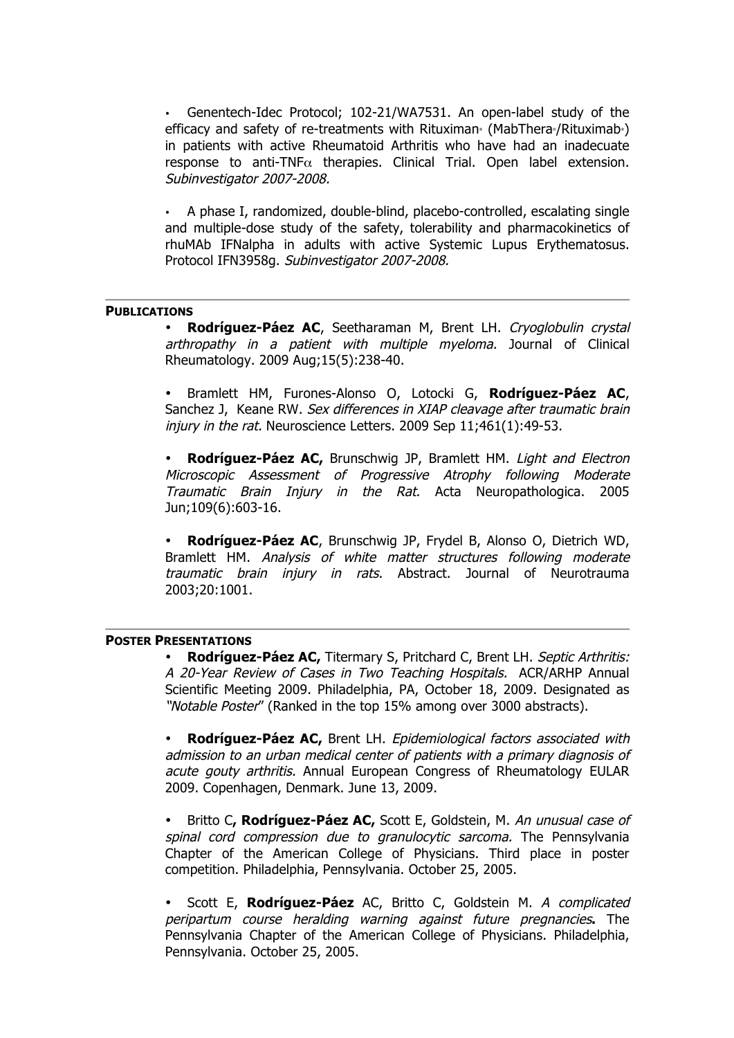• Genentech-Idec Protocol; 102-21/WA7531. An open-label study of the efficacy and safety of re-treatments with Rituximan® (MabThera®/Rituximab®) in patients with active Rheumatoid Arthritis who have had an inadecuate response to anti-TNF $\alpha$  therapies. Clinical Trial. Open label extension. Subinvestigator 2007-2008.

• A phase I, randomized, double-blind, placebo-controlled, escalating single and multiple-dose study of the safety, tolerability and pharmacokinetics of rhuMAb IFNalpha in adults with active Systemic Lupus Erythematosus. Protocol IFN3958g. Subinvestigator 2007-2008.

#### **PUBLICATIONS**

• **Rodríguez-Páez AC**, Seetharaman M, Brent LH. Cryoglobulin crystal arthropathy in a patient with multiple myeloma. Journal of Clinical Rheumatology. 2009 Aug;15(5):238-40.

• Bramlett HM, Furones-Alonso O, Lotocki G, **Rodríguez-Páez AC**, Sanchez J, Keane RW. Sex differences in XIAP cleavage after traumatic brain injury in the rat. Neuroscience Letters. 2009 Sep 11;461(1):49-53.

• **Rodríguez-Páez AC,** Brunschwig JP, Bramlett HM. Light and Electron Microscopic Assessment of Progressive Atrophy following Moderate Traumatic Brain Injury in the Rat. Acta Neuropathologica. 2005 Jun;109(6):603-16.

• **Rodríguez-Páez AC**, Brunschwig JP, Frydel B, Alonso O, Dietrich WD, Bramlett HM. Analysis of white matter structures following moderate traumatic brain injury in rats. Abstract. Journal of Neurotrauma 2003;20:1001.

# **POSTER PRESENTATIONS**

• **Rodríguez-Páez AC,** Titermary S, Pritchard C, Brent LH. Septic Arthritis: A 20-Year Review of Cases in Two Teaching Hospitals.ACR/ARHP Annual Scientific Meeting 2009. Philadelphia, PA, October 18, 2009. Designated as "Notable Poster" (Ranked in the top 15% among over 3000 abstracts).

• **Rodríguez-Páez AC,** Brent LH. Epidemiological factors associated with admission to an urban medical center of patients with a primary diagnosis of acute gouty arthritis. Annual European Congress of Rheumatology EULAR 2009. Copenhagen, Denmark. June 13, 2009.

• Britto C**, Rodríguez-Páez AC,** Scott E, Goldstein, M. An unusual case of spinal cord compression due to granulocytic sarcoma. The Pennsylvania Chapter of the American College of Physicians. Third place in poster competition. Philadelphia, Pennsylvania. October 25, 2005.

• Scott E, **Rodríguez-Páez** AC, Britto C, Goldstein M. A complicated peripartum course heralding warning against future pregnancies**.** The Pennsylvania Chapter of the American College of Physicians. Philadelphia, Pennsylvania. October 25, 2005.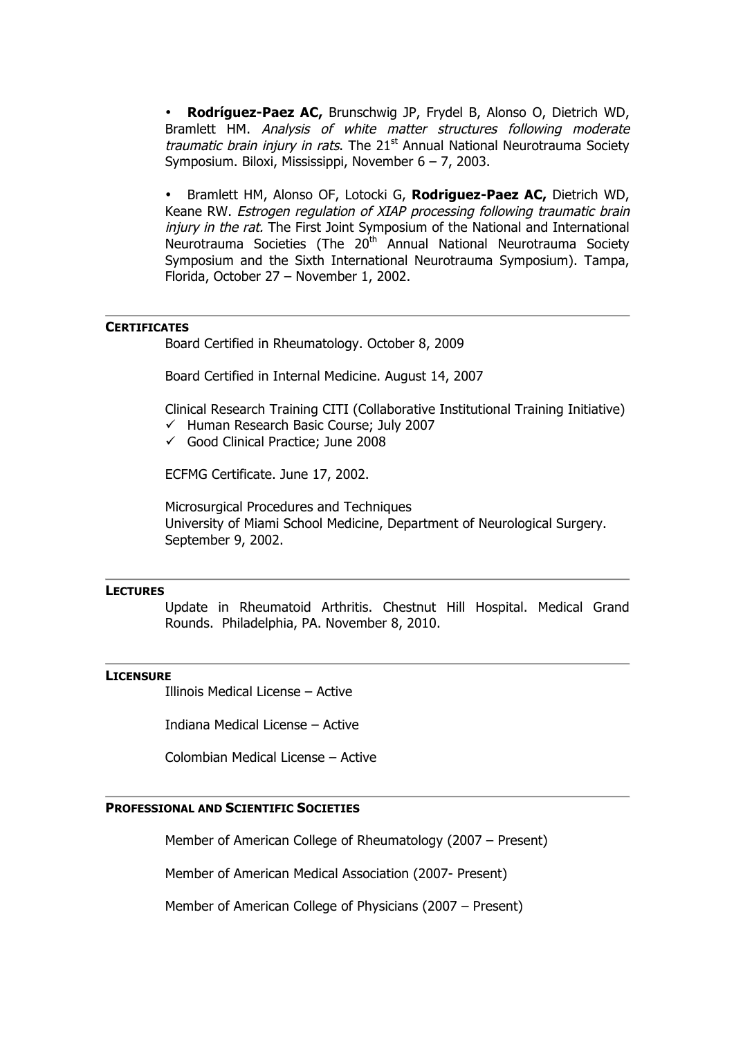• **Rodríguez-Paez AC,** Brunschwig JP, Frydel B, Alonso O, Dietrich WD, Bramlett HM. Analysis of white matter structures following moderate traumatic brain injury in rats. The  $21<sup>st</sup>$  Annual National Neurotrauma Society Symposium. Biloxi, Mississippi, November 6 – 7, 2003.

• Bramlett HM, Alonso OF, Lotocki G, **Rodriguez-Paez AC,** Dietrich WD, Keane RW. Estrogen regulation of XIAP processing following traumatic brain injury in the rat. The First Joint Symposium of the National and International Neurotrauma Societies (The 20<sup>th</sup> Annual National Neurotrauma Society Symposium and the Sixth International Neurotrauma Symposium). Tampa, Florida, October 27 – November 1, 2002.

# **CERTIFICATES**

Board Certified in Rheumatology. October 8, 2009

Board Certified in Internal Medicine. August 14, 2007

Clinical Research Training CITI (Collaborative Institutional Training Initiative)  $\checkmark$  Human Research Basic Course; July 2007

 $\checkmark$  Good Clinical Practice; June 2008

ECFMG Certificate. June 17, 2002.

Microsurgical Procedures and Techniques University of Miami School Medicine, Department of Neurological Surgery. September 9, 2002.

# **LECTURES**

Update in Rheumatoid Arthritis. Chestnut Hill Hospital. Medical Grand Rounds. Philadelphia, PA. November 8, 2010.

#### **LICENSURE**

Illinois Medical License – Active

Indiana Medical License – Active

Colombian Medical License – Active

## **PROFESSIONAL AND SCIENTIFIC SOCIETIES**

Member of American College of Rheumatology (2007 – Present)

Member of American Medical Association (2007- Present)

Member of American College of Physicians (2007 – Present)